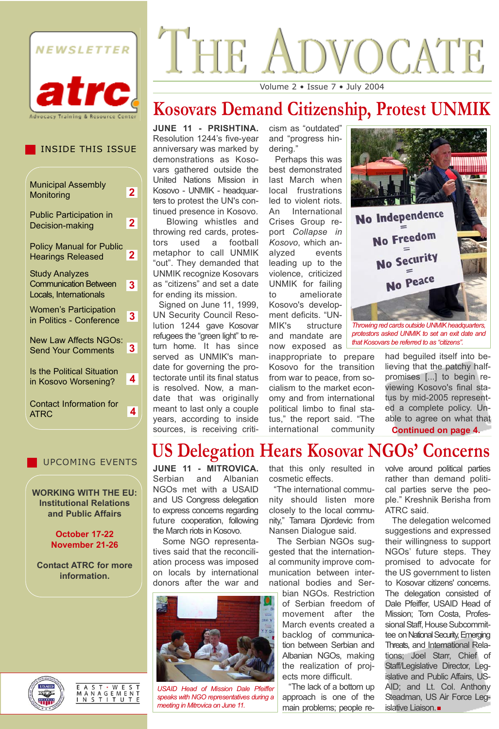

#### INSIDE THIS ISSUE

| <b>Municipal Assembly</b><br>Monitoring                                         | 2.             |
|---------------------------------------------------------------------------------|----------------|
| <b>Public Participation in</b><br>Decision-making                               | $\mathbf{2}$   |
| <b>Policy Manual for Public</b><br><b>Hearings Released</b>                     | $\overline{2}$ |
| <b>Study Analyzes</b><br><b>Communication Between</b><br>Locals, Internationals | 3              |
| <b>Women's Participation</b><br>in Politics - Conference                        | 3.             |
| <b>New Law Affects NGOs:</b><br><b>Send Your Comments</b>                       | 3.             |
| <b>Is the Political Situation</b><br>in Kosovo Worsening?                       | 4              |
| <b>Contact Information for</b><br><b>ATRC</b>                                   | 4              |

#### UPCOMING EVENTS

**WORKING WITH THE EU: Institutional Relations and Public Affairs** 

#### **October 17-22 November 21-26**

**Contact ATRC for more information.**

# VOCATE THE

Volume 2 • Issue 7 • July 2004

# **Kosovars Demand Citizenship, Protest UNMIK**

**JUNE 11 - PRISHTINA.** Resolution 1244's five-year anniversary was marked by demonstrations as Kosovars gathered outside the United Nations Mission in Kosovo - UNMIK - headquarters to protest the UN's continued presence in Kosovo.

Blowing whistles and throwing red cards, protestors used a football metaphor to call UNMIK "out". They demanded that UNMIK recognize Kosovars as "citizens" and set a date for ending its mission.

Signed on June 11, 1999, UN Security Council Resolution 1244 gave Kosovar refugees the "green light" to return home. It has since served as UNMIK's mandate for governing the protectorate until its final status is resolved. Now, a mandate that was originally meant to last only a couple years, according to inside sources, is receiving criticism as "outdated" and "progress hindering."

Perhaps this was best demonstrated last March when local frustrations led to violent riots. An International Crises Group report *Collapse in Kosovo*, which analyzed events leading up to the violence, criticized UNMIK for failing to ameliorate Kosovo's development deficits. "UN-MIK's structure and mandate are now exposed as

inappropriate to prepare Kosovo for the transition from war to peace, from socialism to the market economy and from international political limbo to final status," the report said. "The international community



*protestors asked UNMIK to set an exit date and that Kosovars be referred to as "citizens".*

> had beguiled itself into believing that the patchy halfpromises [...] to begin reviewing Kosovo's final status by mid-2005 represented a complete policy. Unable to agree on what that **Continued on page 4.**

# **US Delegation Hears Kosovar NGOs' Concerns**

**JUNE 11 - MITROVICA.** Serbian and Albanian NGOs met with a USAID and US Congress delegation to express concerns regarding future cooperation, following the March riots in Kosovo.

Some NGO representatives said that the reconciliation process was imposed on locals by international donors after the war and



*USAID Head of Mission Dale Pfeiffer speaks with NGO representatives during a meeting in Mitrovica on June 11.* 

that this only resulted in cosmetic effects.

"The international community should listen more closely to the local community," Tamara Djordevic from Nansen Dialogue said.

The Serbian NGOs suggested that the international community improve communication between international bodies and Ser-

bian NGOs. Restriction of Serbian freedom of movement after the March events created a backlog of communication between Serbian and Albanian NGOs, making the realization of projects more difficult.

"The lack of a bottom up approach is one of the main problems; people revolve around political parties rather than demand political parties serve the people." Kreshnik Berisha from ATRC said.

The delegation welcomed suggestions and expressed their willingness to support NGOs' future steps. They promised to advocate for the US government to listen to Kosovar citizens' concerns. The delegation consisted of Dale Pfeiffer, USAID Head of Mission; Tom Costa, Professional Staff, House Subcommittee on National Security, Emerging Threats, and International Relations; Joel Starr, Chief of Staff/Legislative Director, Legislative and Public Affairs, US-AID; and Lt. Col. Anthony Steadman, US Air Force Legislative Liaison.



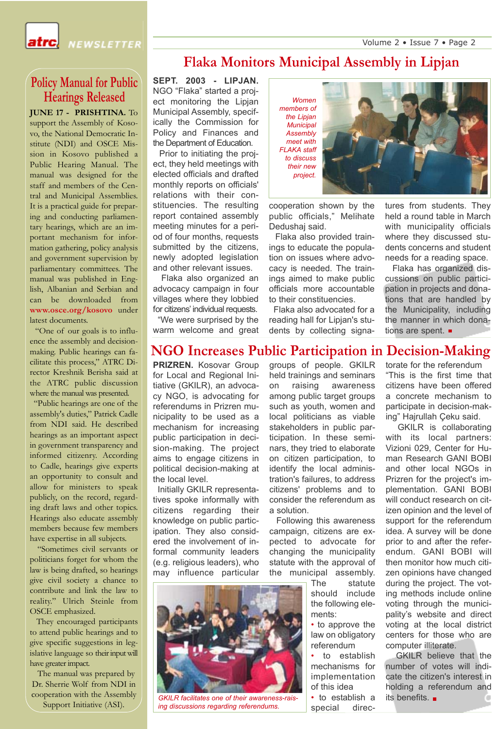Volume 2 • Issue 7 • Page 2



### **Policy Manual for Public Hearings Released**

**JUNE 17 - PRISHTINA.** To support the Assembly of Kosovo, the National Democratic Institute (NDI) and OSCE Mission in Kosovo published a Public Hearing Manual. The manual was designed for the staff and members of the Central and Municipal Assemblies. It is a practical guide for preparing and conducting parliamentary hearings, which are an important mechanism for information gathering, policy analysis and government supervision by parliamentary committees. The manual was published in English, Albanian and Serbian and can be downloaded from **www.osce.org/kosovo** under latest documents.

"One of our goals is to influence the assembly and decisionmaking. Public hearings can facilitate this process," ATRC Director Kreshnik Berisha said at the ATRC public discussion where the manual was presented.

"Public hearings are one of the assembly's duties," Patrick Cadle from NDI said. He described hearings as an important aspect in government transparency and informed citizenry. According to Cadle, hearings give experts an opportunity to consult and allow for ministers to speak publicly, on the record, regarding draft laws and other topics. Hearings also educate assembly members because few members have expertise in all subjects.

"Sometimes civil servants or politicians forget for whom the law is being drafted, so hearings give civil society a chance to contribute and link the law to reality." Ulrich Steinle from OSCE emphasized.

They encouraged participants to attend public hearings and to give specific suggestions in legislative language so their input will have greater impact.

The manual was prepared by Dr. Sherrie Wolf from NDI in cooperation with the Assembly Support Initiative (ASI).

# **Flaka Monitors Municipal Assembly in Lipjan**

**SEPT. 2003 - LIPJAN.** NGO "Flaka" started a project monitoring the Lipjan Municipal Assembly, specifically the Commission for Policy and Finances and the Department of Education.

Prior to initiating the project, they held meetings with elected officials and drafted monthly reports on officials' relations with their constituencies. The resulting report contained assembly meeting minutes for a period of four months, requests submitted by the citizens, newly adopted legislation and other relevant issues.

Flaka also organized an advocacy campaign in four villages where they lobbied for citizens' individual requests. "We were surprised by the

warm welcome and great

# **NGO Increases Public Participation in Decision-Making**

**PRIZREN.** Kosovar Group for Local and Regional Initiative (GKILR), an advocacy NGO, is advocating for referendums in Prizren municipality to be used as a mechanism for increasing public participation in decision-making. The project aims to engage citizens in political decision-making at the local level.

Initially GKILR representatives spoke informally with citizens regarding their knowledge on public participation. They also considered the involvement of informal community leaders (e.g. religious leaders), who may influence particular

groups of people. GKILR held trainings and seminars on raising awareness among public target groups such as youth, women and local politicians as viable stakeholders in public participation. In these seminars, they tried to elaborate on citizen participation, to identify the local administration's failures, to address citizens' problems and to consider the referendum as a solution.

Following this awareness campaign, citizens are expected to advocate for changing the municipality statute with the approval of the municipal assembly.

> The statute should include the following elements:

• to approve the law on obligatory referendum

to establish mechanisms for implementation of this idea

• to establish a special directures from students. They held a round table in March with municipality officials where they discussed students concerns and student needs for a reading space.

Flaka has organized discussions on public participation in projects and donations that are handled by the Municipality, including the manner in which donations are spent. ■

torate for the referendum "This is the first time that citizens have been offered a concrete mechanism to participate in decision-mak-

ing" Hajrullah Çeku said. GKILR is collaborating with its local partners: Vizioni 029, Center for Human Research GANI BOBI and other local NGOs in Prizren for the project's implementation. GANI BOBI will conduct research on citizen opinion and the level of support for the referendum idea. A survey will be done prior to and after the referendum. GANI BOBI will then monitor how much citizen opinions have changed during the project. The voting methods include online voting through the municipality's website and direct voting at the local district centers for those who are computer illiterate.

GKILR believe that the number of votes will indicate the citizen's interest in holding a referendum and



*GKILR facilitates one of their awareness-rais-* • to establish a its benefits. *ing discussions regarding referendums.*



cooperation shown by the

Dedushaj said.

public officials," Melihate

Flaka also provided trainings to educate the population on issues where advocacy is needed. The trainings aimed to make public officials more accountable to their constituencies. Flaka also advocated for a reading hall for Lipjan's students by collecting signa-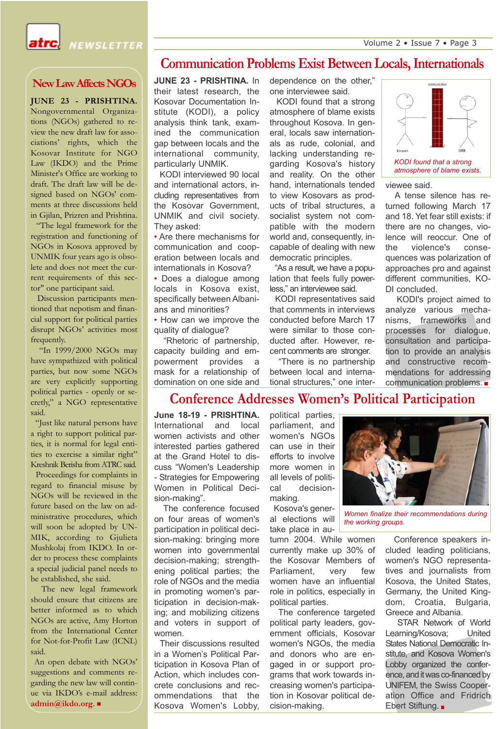Volume 2 • Issue 7 • Page 3



#### NEWSLETTER

#### **New Law Affects NGOs**

**JUNE 23 - PRISHTINA.** Nongovernmental Organizations (NGOs) gathered to review the new draft law for associations' rights, which the Kosovar Institute for NGO Law (IKDO) and the Prime Minister's Office are working to draft. The draft law will be designed based on NGOs' comments at three discussions held in Gjilan, Prizren and Prishtina.

"The legal framework for the registration and functioning of NGOs in Kosova approved by UNMIK four years ago is obsolete and does not meet the current requirements of this sector" one participant said.

Discussion participants mentioned that nepotism and financial support for political parties disrupt NGOs' activities most frequently.

"In 1999/2000 NGOs may have sympathized with political parties, but now some NGOs are very explicitly supporting political parties - openly or secretly," a NGO representative said.

"Just like natural persons have a right to support political parties, it is normal for legal entities to exercise a similar right" Kreshnik Berisha from ATRC said.

Proceedings for complaints in regard to financial misuse by NGOs will be reviewed in the future based on the law on administrative procedures, which will soon be adopted by UN-MIK, according to Gjulieta Mushkolaj from IKDO. In order to process these complaints a special judicial panel needs to be established, she said.

The new legal framework should ensure that citizens are better informed as to which NGOs are active, Amy Horton from the International Center for Not-for-Profit Law (ICNL) said.

An open debate with NGOs' suggestions and comments regarding the new law will continue via IKDO's e-mail address: **admin@ikdo.org**.

#### **Communication Problems Exist Between Locals, Internationals**

**JUNE 23 - PRISHTINA.** In their latest research, the Kosovar Documentation Institute (KODI), a policy analysis think tank, examined the communication gap between locals and the international community, particularly UNMIK.

KODI interviewed 90 local and international actors, including representatives from the Kosovar Government, UNMIK and civil society. They asked:

• Are there mechanisms for communication and cooperation between locals and internationals in Kosova?

• Does a dialogue among locals in Kosova exist, specifically between Albanians and minorities?

• How can we improve the quality of dialogue?

"Rhetoric of partnership, capacity building and empowerment provides a mask for a relationship of domination on one side and dependence on the other," one interviewee said.

KODI found that a strong atmosphere of blame exists throughout Kosova. In general, locals saw internationals as rude, colonial, and lacking understanding regarding Kosova's history and reality. On the other hand, internationals tended to view Kosovars as products of tribal structures, a socialist system not compatible with the modern world and, consequently, incapable of dealing with new democratic principles.

"As a result, we have a population that feels fully powerless," an interviewee said.

KODI representatives said that comments in interviews conducted before March 17 were similar to those conducted after. However, recent comments are stronger.

"There is no partnership between local and international structures," one inter-



viewee said.

A tense silence has returned following March 17 and 18. Yet fear still exists: if there are no changes, violence will reoccur. One of the violence's consequences was polarization of approaches pro and against different communities, KO-DI concluded.

KODI's project aimed to analyze various mechanisms, frameworks and processes for dialogue, consultation and participation to provide an analysis and constructive recommendations for addressing communication problems.

#### **Conference Addresses Women's Political Participation**

**June 18-19 - PRISHTINA.** International and local women activists and other interested parties gathered at the Grand Hotel to discuss "Women's Leadership - Strategies for Empowering Women in Political Decision-making".

The conference focused on four areas of women's participation in political decision-making: bringing more women into governmental decision-making; strengthening political parties; the role of NGOs and the media in promoting women's participation in decision-making; and mobilizing citizens and voters in support of women.

Their discussions resulted in a Women's Political Participation in Kosova Plan of Action, which includes concrete conclusions and recommendations that the Kosova Women's Lobby, political parties, parliament, and women's NGOs can use in their efforts to involve more women in all levels of political decisionmaking.

Kosova's general elections will take place in au-

tumn 2004. While women currently make up 30% of the Kosovar Members of Parliament, very few women have an influential role in politics, especially in political parties.

The conference targeted political party leaders, government officials, Kosovar women's NGOs, the media and donors who are engaged in or support programs that work towards increasing women's participation in Kosovar political decision-making.



*Women finalize their recommendations during the working groups.*

Conference speakers included leading politicians, women's NGO representatives and journalists from Kosova, the United States, Germany, the United Kingdom, Croatia, Bulgaria, Greece and Albania.

STAR Network of World Learning/Kosova; United States National Democratic Institute, and Kosova Women's Lobby organized the conference, and it was co-financed by UNIFEM, the Swiss Cooperation Office and Fridrich Ebert Stiftung. ■